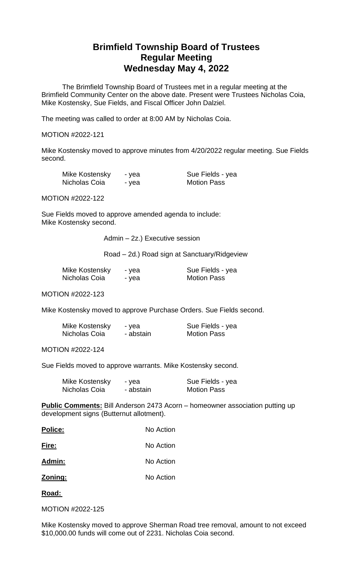# **Brimfield Township Board of Trustees Regular Meeting Wednesday May 4, 2022**

The Brimfield Township Board of Trustees met in a regular meeting at the Brimfield Community Center on the above date. Present were Trustees Nicholas Coia, Mike Kostensky, Sue Fields, and Fiscal Officer John Dalziel.

The meeting was called to order at 8:00 AM by Nicholas Coia.

### MOTION #2022-121

Mike Kostensky moved to approve minutes from 4/20/2022 regular meeting. Sue Fields second.

| Mike Kostensky | - yea | Sue Fields - yea   |
|----------------|-------|--------------------|
| Nicholas Coia  | - yea | <b>Motion Pass</b> |

MOTION #2022-122

Sue Fields moved to approve amended agenda to include: Mike Kostensky second.

Admin – 2z.) Executive session

Road – 2d.) Road sign at Sanctuary/Ridgeview

| Mike Kostensky | - yea | Sue Fields - yea   |
|----------------|-------|--------------------|
| Nicholas Coia  | - yea | <b>Motion Pass</b> |

MOTION #2022-123

Mike Kostensky moved to approve Purchase Orders. Sue Fields second.

| Mike Kostensky | - yea     | Sue Fields - yea   |
|----------------|-----------|--------------------|
| Nicholas Coia  | - abstain | <b>Motion Pass</b> |

MOTION #2022-124

Sue Fields moved to approve warrants. Mike Kostensky second.

| Mike Kostensky | - yea     | Sue Fields - yea   |
|----------------|-----------|--------------------|
| Nicholas Coia  | - abstain | <b>Motion Pass</b> |

**Public Comments:** Bill Anderson 2473 Acorn – homeowner association putting up development signs (Butternut allotment).

| <b>Police:</b> | No Action |
|----------------|-----------|
| Fire:          | No Action |
| Admin:         | No Action |

**Zoning:** No Action

**Road:**

MOTION #2022-125

Mike Kostensky moved to approve Sherman Road tree removal, amount to not exceed \$10,000.00 funds will come out of 2231. Nicholas Coia second.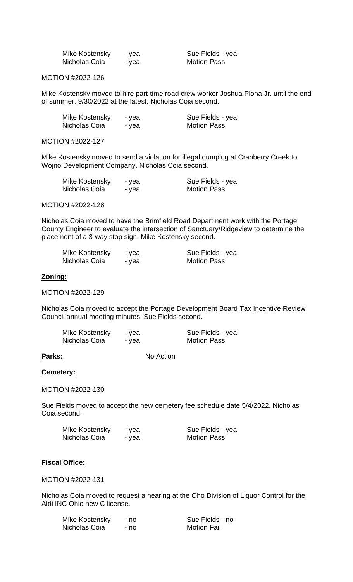| Mike Kostensky | - yea |
|----------------|-------|
| Nicholas Coia  | - yea |

Sue Fields - yea Motion Pass

MOTION #2022-126

Mike Kostensky moved to hire part-time road crew worker Joshua Plona Jr. until the end of summer, 9/30/2022 at the latest. Nicholas Coia second.

| Mike Kostensky | - yea | Sue Fields - yea   |
|----------------|-------|--------------------|
| Nicholas Coia  | - yea | <b>Motion Pass</b> |

MOTION #2022-127

Mike Kostensky moved to send a violation for illegal dumping at Cranberry Creek to Wojno Development Company. Nicholas Coia second.

| Mike Kostensky | - yea | Sue Fields - yea   |
|----------------|-------|--------------------|
| Nicholas Coia  | - yea | <b>Motion Pass</b> |

MOTION #2022-128

Nicholas Coia moved to have the Brimfield Road Department work with the Portage County Engineer to evaluate the intersection of Sanctuary/Ridgeview to determine the placement of a 3-way stop sign. Mike Kostensky second.

| Mike Kostensky | - yea | Sue Fields - yea   |
|----------------|-------|--------------------|
| Nicholas Coia  | - yea | <b>Motion Pass</b> |

#### **Zoning:**

MOTION #2022-129

Nicholas Coia moved to accept the Portage Development Board Tax Incentive Review Council annual meeting minutes. Sue Fields second.

| Mike Kostensky | - vea | Sue Fields - yea   |
|----------------|-------|--------------------|
| Nicholas Coia  | - yea | <b>Motion Pass</b> |

Parks: No Action

### **Cemetery:**

MOTION #2022-130

Sue Fields moved to accept the new cemetery fee schedule date 5/4/2022. Nicholas Coia second.

| Mike Kostensky | - yea | Sue Fields - yea   |
|----------------|-------|--------------------|
| Nicholas Coia  | - yea | <b>Motion Pass</b> |

# **Fiscal Office:**

MOTION #2022-131

Nicholas Coia moved to request a hearing at the Oho Division of Liquor Control for the Aldi INC Ohio new C license.

| Mike Kostensky | - no | Sue Fields - no    |
|----------------|------|--------------------|
| Nicholas Coia  | - no | <b>Motion Fail</b> |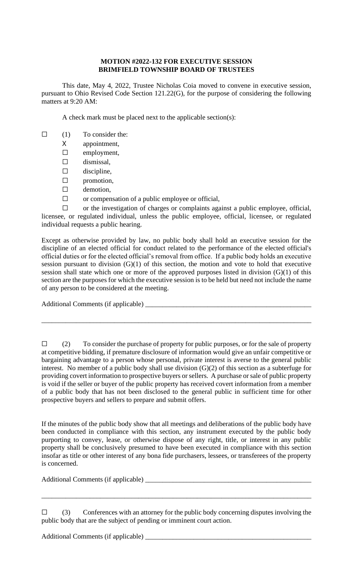## **MOTION #2022-132 FOR EXECUTIVE SESSION BRIMFIELD TOWNSHIP BOARD OF TRUSTEES**

This date, May 4, 2022, Trustee Nicholas Coia moved to convene in executive session, pursuant to Ohio Revised Code Section 121.22(G), for the purpose of considering the following matters at 9:20 AM:

A check mark must be placed next to the applicable section(s):

- $\Box$  (1) To consider the:
	- X appointment,
	- ☐ employment,
	- $\square$  dismissal,
	- $\square$  discipline,
	- ☐ promotion,
	- □ demotion,
	- ☐ or compensation of a public employee or official,

☐ or the investigation of charges or complaints against a public employee, official, licensee, or regulated individual, unless the public employee, official, licensee, or regulated individual requests a public hearing.

Except as otherwise provided by law, no public body shall hold an executive session for the discipline of an elected official for conduct related to the performance of the elected official's official duties or for the elected official's removal from office. If a public body holds an executive session pursuant to division  $(G)(1)$  of this section, the motion and vote to hold that executive session shall state which one or more of the approved purposes listed in division (G)(1) of this section are the purposes for which the executive session is to be held but need not include the name of any person to be considered at the meeting.

Additional Comments (if applicable) \_\_\_\_\_\_\_\_\_\_\_\_\_\_\_\_\_\_\_\_\_\_\_\_\_\_\_\_\_\_\_\_\_\_\_\_\_\_\_\_\_\_\_\_\_\_\_\_

 $\Box$  (2) To consider the purchase of property for public purposes, or for the sale of property at competitive bidding, if premature disclosure of information would give an unfair competitive or bargaining advantage to a person whose personal, private interest is averse to the general public interest. No member of a public body shall use division (G)(2) of this section as a subterfuge for providing covert information to prospective buyers or sellers. A purchase or sale of public property is void if the seller or buyer of the public property has received covert information from a member of a public body that has not been disclosed to the general public in sufficient time for other prospective buyers and sellers to prepare and submit offers.

\_\_\_\_\_\_\_\_\_\_\_\_\_\_\_\_\_\_\_\_\_\_\_\_\_\_\_\_\_\_\_\_\_\_\_\_\_\_\_\_\_\_\_\_\_\_\_\_\_\_\_\_\_\_\_\_\_\_\_\_\_\_\_\_\_\_\_\_\_\_\_\_\_\_\_\_\_\_

If the minutes of the public body show that all meetings and deliberations of the public body have been conducted in compliance with this section, any instrument executed by the public body purporting to convey, lease, or otherwise dispose of any right, title, or interest in any public property shall be conclusively presumed to have been executed in compliance with this section insofar as title or other interest of any bona fide purchasers, lessees, or transferees of the property is concerned.

Additional Comments (if applicable) \_\_\_\_\_\_\_\_\_\_\_\_\_\_\_\_\_\_\_\_\_\_\_\_\_\_\_\_\_\_\_\_\_\_\_\_\_\_\_\_\_\_\_\_\_\_\_\_

 $\Box$  (3) Conferences with an attorney for the public body concerning disputes involving the public body that are the subject of pending or imminent court action.

\_\_\_\_\_\_\_\_\_\_\_\_\_\_\_\_\_\_\_\_\_\_\_\_\_\_\_\_\_\_\_\_\_\_\_\_\_\_\_\_\_\_\_\_\_\_\_\_\_\_\_\_\_\_\_\_\_\_\_\_\_\_\_\_\_\_\_\_\_\_\_\_\_\_\_\_\_\_

Additional Comments (if applicable) \_\_\_\_\_\_\_\_\_\_\_\_\_\_\_\_\_\_\_\_\_\_\_\_\_\_\_\_\_\_\_\_\_\_\_\_\_\_\_\_\_\_\_\_\_\_\_\_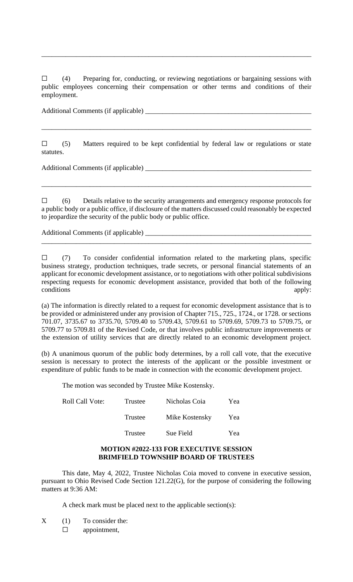$\Box$  (4) Preparing for, conducting, or reviewing negotiations or bargaining sessions with public employees concerning their compensation or other terms and conditions of their employment.

\_\_\_\_\_\_\_\_\_\_\_\_\_\_\_\_\_\_\_\_\_\_\_\_\_\_\_\_\_\_\_\_\_\_\_\_\_\_\_\_\_\_\_\_\_\_\_\_\_\_\_\_\_\_\_\_\_\_\_\_\_\_\_\_\_\_\_\_\_\_\_\_\_\_\_\_\_\_

Additional Comments (if applicable) \_\_\_\_\_\_\_\_\_\_\_\_\_\_\_\_\_\_\_\_\_\_\_\_\_\_\_\_\_\_\_\_\_\_\_\_\_\_\_\_\_\_\_\_\_\_\_\_

 $\square$  (5) Matters required to be kept confidential by federal law or regulations or state statutes.

\_\_\_\_\_\_\_\_\_\_\_\_\_\_\_\_\_\_\_\_\_\_\_\_\_\_\_\_\_\_\_\_\_\_\_\_\_\_\_\_\_\_\_\_\_\_\_\_\_\_\_\_\_\_\_\_\_\_\_\_\_\_\_\_\_\_\_\_\_\_\_\_\_\_\_\_\_\_

Additional Comments (if applicable) \_\_\_\_\_\_\_\_\_\_\_\_\_\_\_\_\_\_\_\_\_\_\_\_\_\_\_\_\_\_\_\_\_\_\_\_\_\_\_\_\_\_\_\_\_\_\_\_

☐ (6) Details relative to the security arrangements and emergency response protocols for a public body or a public office, if disclosure of the matters discussed could reasonably be expected to jeopardize the security of the public body or public office.

\_\_\_\_\_\_\_\_\_\_\_\_\_\_\_\_\_\_\_\_\_\_\_\_\_\_\_\_\_\_\_\_\_\_\_\_\_\_\_\_\_\_\_\_\_\_\_\_\_\_\_\_\_\_\_\_\_\_\_\_\_\_\_\_\_\_\_\_\_\_\_\_\_\_\_\_\_\_

\_\_\_\_\_\_\_\_\_\_\_\_\_\_\_\_\_\_\_\_\_\_\_\_\_\_\_\_\_\_\_\_\_\_\_\_\_\_\_\_\_\_\_\_\_\_\_\_\_\_\_\_\_\_\_\_\_\_\_\_\_\_\_\_\_\_\_\_\_\_\_\_\_\_\_\_\_\_

Additional Comments (if applicable) \_

 $\Box$  (7) To consider confidential information related to the marketing plans, specific business strategy, production techniques, trade secrets, or personal financial statements of an applicant for economic development assistance, or to negotiations with other political subdivisions respecting requests for economic development assistance, provided that both of the following conditions apply:

(a) The information is directly related to a request for economic development assistance that is to be provided or administered under any provision of Chapter 715., 725., 1724., or 1728. or sections 701.07, 3735.67 to 3735.70, 5709.40 to 5709.43, 5709.61 to 5709.69, 5709.73 to 5709.75, or 5709.77 to 5709.81 of the Revised Code, or that involves public infrastructure improvements or the extension of utility services that are directly related to an economic development project.

(b) A unanimous quorum of the public body determines, by a roll call vote, that the executive session is necessary to protect the interests of the applicant or the possible investment or expenditure of public funds to be made in connection with the economic development project.

The motion was seconded by Trustee Mike Kostensky.

| Roll Call Vote: | Trustee | Nicholas Coia  | Yea |
|-----------------|---------|----------------|-----|
|                 | Trustee | Mike Kostensky | Yea |
|                 | Trustee | Sue Field      | Yea |

#### **MOTION #2022-133 FOR EXECUTIVE SESSION BRIMFIELD TOWNSHIP BOARD OF TRUSTEES**

This date, May 4, 2022, Trustee Nicholas Coia moved to convene in executive session, pursuant to Ohio Revised Code Section 121.22(G), for the purpose of considering the following matters at 9:36 AM:

A check mark must be placed next to the applicable section(s):

- X (1) To consider the:
	- $\square$  appointment,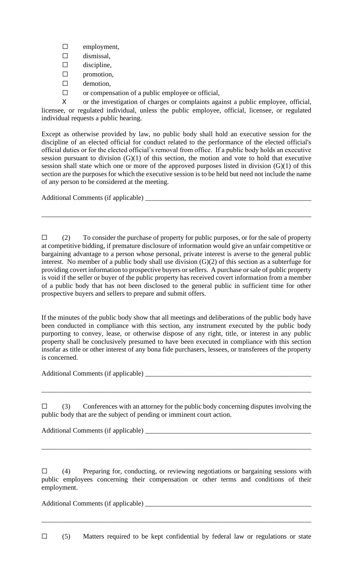- ☐ employment,
- □ dismissal,
- $\square$  discipline,
- ☐ promotion,
- □ demotion,
- ☐ or compensation of a public employee or official,

X or the investigation of charges or complaints against a public employee, official, licensee, or regulated individual, unless the public employee, official, licensee, or regulated individual requests a public hearing.

Except as otherwise provided by law, no public body shall hold an executive session for the discipline of an elected official for conduct related to the performance of the elected official's official duties or for the elected official's removal from office. If a public body holds an executive session pursuant to division  $(G)(1)$  of this section, the motion and vote to hold that executive session shall state which one or more of the approved purposes listed in division (G)(1) of this section are the purposes for which the executive session is to be held but need not include the name of any person to be considered at the meeting.

Additional Comments (if applicable) \_\_\_\_\_\_\_\_\_\_\_\_\_\_\_\_\_\_\_\_\_\_\_\_\_\_\_\_\_\_\_\_\_\_\_\_\_\_\_\_\_\_\_\_\_\_\_\_

 $\Box$  (2) To consider the purchase of property for public purposes, or for the sale of property at competitive bidding, if premature disclosure of information would give an unfair competitive or bargaining advantage to a person whose personal, private interest is averse to the general public interest. No member of a public body shall use division (G)(2) of this section as a subterfuge for providing covert information to prospective buyers or sellers. A purchase or sale of public property is void if the seller or buyer of the public property has received covert information from a member of a public body that has not been disclosed to the general public in sufficient time for other prospective buyers and sellers to prepare and submit offers.

\_\_\_\_\_\_\_\_\_\_\_\_\_\_\_\_\_\_\_\_\_\_\_\_\_\_\_\_\_\_\_\_\_\_\_\_\_\_\_\_\_\_\_\_\_\_\_\_\_\_\_\_\_\_\_\_\_\_\_\_\_\_\_\_\_\_\_\_\_\_\_\_\_\_\_\_\_\_

If the minutes of the public body show that all meetings and deliberations of the public body have been conducted in compliance with this section, any instrument executed by the public body purporting to convey, lease, or otherwise dispose of any right, title, or interest in any public property shall be conclusively presumed to have been executed in compliance with this section insofar as title or other interest of any bona fide purchasers, lessees, or transferees of the property is concerned.

Additional Comments (if applicable) \_\_\_\_\_\_\_\_\_\_\_\_\_\_\_\_\_\_\_\_\_\_\_\_\_\_\_\_\_\_\_\_\_\_\_\_\_\_\_\_\_\_\_\_\_\_\_\_

 $\Box$  (3) Conferences with an attorney for the public body concerning disputes involving the public body that are the subject of pending or imminent court action.

\_\_\_\_\_\_\_\_\_\_\_\_\_\_\_\_\_\_\_\_\_\_\_\_\_\_\_\_\_\_\_\_\_\_\_\_\_\_\_\_\_\_\_\_\_\_\_\_\_\_\_\_\_\_\_\_\_\_\_\_\_\_\_\_\_\_\_\_\_\_\_\_\_\_\_\_\_\_

Additional Comments (if applicable) \_\_\_\_\_\_\_\_\_\_\_\_\_\_\_\_\_\_\_\_\_\_\_\_\_\_\_\_\_\_\_\_\_\_\_\_\_\_\_\_\_\_\_\_\_\_\_\_

 $\Box$  (4) Preparing for, conducting, or reviewing negotiations or bargaining sessions with public employees concerning their compensation or other terms and conditions of their employment.

\_\_\_\_\_\_\_\_\_\_\_\_\_\_\_\_\_\_\_\_\_\_\_\_\_\_\_\_\_\_\_\_\_\_\_\_\_\_\_\_\_\_\_\_\_\_\_\_\_\_\_\_\_\_\_\_\_\_\_\_\_\_\_\_\_\_\_\_\_\_\_\_\_\_\_\_\_\_

Additional Comments (if applicable) \_\_\_\_\_\_\_\_\_\_\_\_\_\_\_\_\_\_\_\_\_\_\_\_\_\_\_\_\_\_\_\_\_\_\_\_\_\_\_\_\_\_\_\_\_\_\_\_

 $\square$  (5) Matters required to be kept confidential by federal law or regulations or state

\_\_\_\_\_\_\_\_\_\_\_\_\_\_\_\_\_\_\_\_\_\_\_\_\_\_\_\_\_\_\_\_\_\_\_\_\_\_\_\_\_\_\_\_\_\_\_\_\_\_\_\_\_\_\_\_\_\_\_\_\_\_\_\_\_\_\_\_\_\_\_\_\_\_\_\_\_\_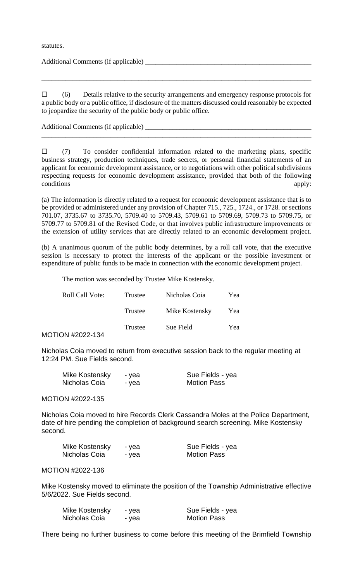statutes.

Additional Comments (if applicable) \_\_\_\_\_\_\_\_\_\_\_\_\_\_\_\_\_\_\_\_\_\_\_\_\_\_\_\_\_\_\_\_\_\_\_\_\_\_\_\_\_\_\_\_\_\_\_\_

☐ (6) Details relative to the security arrangements and emergency response protocols for a public body or a public office, if disclosure of the matters discussed could reasonably be expected to jeopardize the security of the public body or public office.

\_\_\_\_\_\_\_\_\_\_\_\_\_\_\_\_\_\_\_\_\_\_\_\_\_\_\_\_\_\_\_\_\_\_\_\_\_\_\_\_\_\_\_\_\_\_\_\_\_\_\_\_\_\_\_\_\_\_\_\_\_\_\_\_\_\_\_\_\_\_\_\_\_\_\_\_\_\_

\_\_\_\_\_\_\_\_\_\_\_\_\_\_\_\_\_\_\_\_\_\_\_\_\_\_\_\_\_\_\_\_\_\_\_\_\_\_\_\_\_\_\_\_\_\_\_\_\_\_\_\_\_\_\_\_\_\_\_\_\_\_\_\_\_\_\_\_\_\_\_\_\_\_\_\_\_\_

Additional Comments (if applicable) \_\_\_\_\_\_\_\_\_\_\_\_\_\_\_\_\_\_\_\_\_\_\_\_\_\_\_\_\_\_\_\_\_\_\_\_\_\_\_\_\_\_\_\_\_\_\_\_

 $\Box$  (7) To consider confidential information related to the marketing plans, specific business strategy, production techniques, trade secrets, or personal financial statements of an applicant for economic development assistance, or to negotiations with other political subdivisions respecting requests for economic development assistance, provided that both of the following conditions apply:

(a) The information is directly related to a request for economic development assistance that is to be provided or administered under any provision of Chapter 715., 725., 1724., or 1728. or sections 701.07, 3735.67 to 3735.70, 5709.40 to 5709.43, 5709.61 to 5709.69, 5709.73 to 5709.75, or 5709.77 to 5709.81 of the Revised Code, or that involves public infrastructure improvements or the extension of utility services that are directly related to an economic development project.

(b) A unanimous quorum of the public body determines, by a roll call vote, that the executive session is necessary to protect the interests of the applicant or the possible investment or expenditure of public funds to be made in connection with the economic development project.

The motion was seconded by Trustee Mike Kostensky.

| <b>Roll Call Vote:</b>  | Trustee | Nicholas Coia  | Yea |
|-------------------------|---------|----------------|-----|
|                         | Trustee | Mike Kostensky | Yea |
| <b>MOTION #2022-134</b> | Trustee | Sue Field      | Yea |

Nicholas Coia moved to return from executive session back to the regular meeting at 12:24 PM. Sue Fields second.

| Mike Kostensky | - yea | Sue Fields - yea   |
|----------------|-------|--------------------|
| Nicholas Coia  | - yea | <b>Motion Pass</b> |

MOTION #2022-135

Nicholas Coia moved to hire Records Clerk Cassandra Moles at the Police Department, date of hire pending the completion of background search screening. Mike Kostensky second.

| Mike Kostensky | - yea |
|----------------|-------|
| Nicholas Coia  | - yea |

Sue Fields - yea Motion Pass<sup>1</sup>

MOTION #2022-136

Mike Kostensky moved to eliminate the position of the Township Administrative effective 5/6/2022. Sue Fields second.

| Mike Kostensky | - yea | Sue Fields - yea   |
|----------------|-------|--------------------|
| Nicholas Coia  | - yea | <b>Motion Pass</b> |

There being no further business to come before this meeting of the Brimfield Township